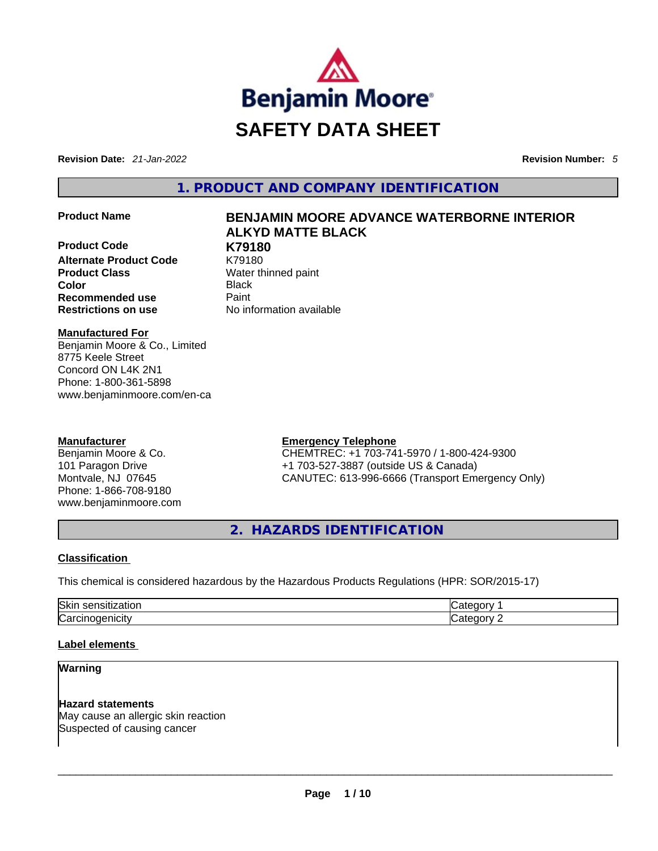

**Revision Date:** *21-Jan-2022* **Revision Number:** *5*

**1. PRODUCT AND COMPANY IDENTIFICATION** 

**Product Code K79180 Alternate Product Code** K79180 **Product Class Water thinned paint Color** Black **Recommended use Paint Restrictions on use** No information available

# **Product Name BENJAMIN MOORE ADVANCE WATERBORNE INTERIOR ALKYD MATTE BLACK**

**Manufactured For**

Benjamin Moore & Co., Limited 8775 Keele Street Concord ON L4K 2N1 Phone: 1-800-361-5898 www.benjaminmoore.com/en-ca

# **Manufacturer**

Benjamin Moore & Co. 101 Paragon Drive Montvale, NJ 07645 Phone: 1-866-708-9180 www.benjaminmoore.com

# **Emergency Telephone**

CHEMTREC: +1 703-741-5970 / 1-800-424-9300 +1 703-527-3887 (outside US & Canada) CANUTEC: 613-996-6666 (Transport Emergency Only)

**2. HAZARDS IDENTIFICATION** 

# **Classification**

This chemical is considered hazardous by the Hazardous Products Regulations (HPR: SOR/2015-17)

| Skir<br>----------<br>.IUI<br>יי | ---            |
|----------------------------------|----------------|
| ∼<br>IJ<br>ш<br>. ALV            | ---<br>$\cdot$ |

# **Label elements**

**Warning** 

**Hazard statements** May cause an allergic skin reaction Suspected of causing cancer \_\_\_\_\_\_\_\_\_\_\_\_\_\_\_\_\_\_\_\_\_\_\_\_\_\_\_\_\_\_\_\_\_\_\_\_\_\_\_\_\_\_\_\_\_\_\_\_\_\_\_\_\_\_\_\_\_\_\_\_\_\_\_\_\_\_\_\_\_\_\_\_\_\_\_\_\_\_\_\_\_\_\_\_\_\_\_\_\_\_\_\_\_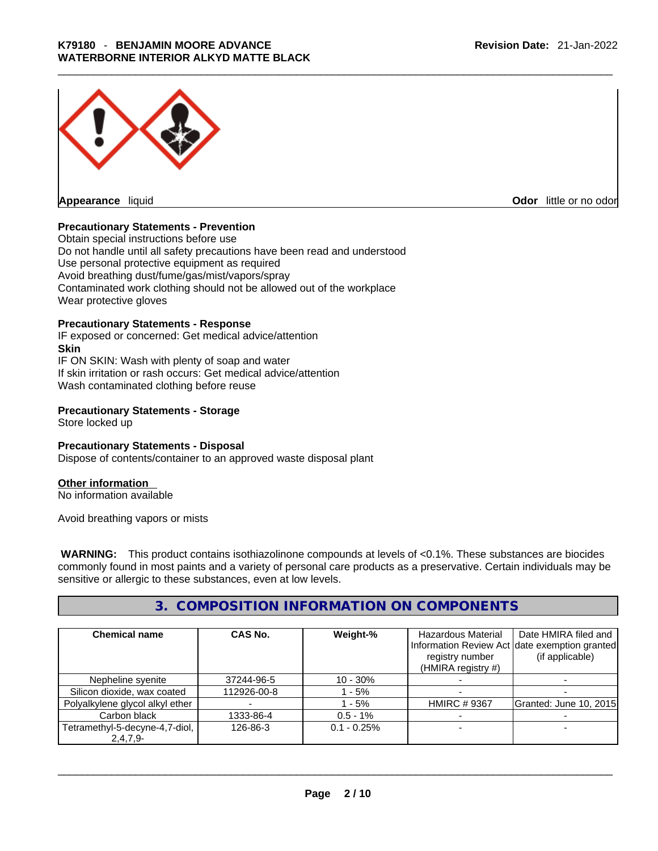

**Appearance** liquid **Odor 11** and **Odor 11** and **Odor 11** and **Odor 11** and **Odor 11** and **Odor** 11 and **Odor** 11 and **Odor** 11 and **Odor** 11 and **Odor** 11 and **Odor** 11 and **Odor** 11 and **Odor** 11 and **Odor** 11 and **Odor** 

# **Precautionary Statements - Prevention**

Obtain special instructions before use Do not handle until all safety precautions have been read and understood Use personal protective equipment as required Avoid breathing dust/fume/gas/mist/vapors/spray Contaminated work clothing should not be allowed out of the workplace Wear protective gloves

#### **Precautionary Statements - Response**

IF exposed or concerned: Get medical advice/attention **Skin** IF ON SKIN: Wash with plenty of soap and water If skin irritation or rash occurs: Get medical advice/attention Wash contaminated clothing before reuse

## **Precautionary Statements - Storage**

Store locked up

## **Precautionary Statements - Disposal**

Dispose of contents/container to an approved waste disposal plant

# **Other information**

No information available

Avoid breathing vapors or mists

 **WARNING:** This product contains isothiazolinone compounds at levels of <0.1%. These substances are biocides commonly found in most paints and a variety of personal care products as a preservative. Certain individuals may be sensitive or allergic to these substances, even at low levels.

# **3. COMPOSITION INFORMATION ON COMPONENTS**

| <b>Chemical name</b>                      | CAS No.     | Weight-%      | Hazardous Material<br>registry number<br>(HMIRA registry $#$ ) | Date HMIRA filed and<br>Information Review Act date exemption granted<br>(if applicable) |
|-------------------------------------------|-------------|---------------|----------------------------------------------------------------|------------------------------------------------------------------------------------------|
| Nepheline syenite                         | 37244-96-5  | $10 - 30%$    |                                                                |                                                                                          |
| Silicon dioxide, wax coated               | 112926-00-8 | - 5%          |                                                                |                                                                                          |
| Polyalkylene glycol alkyl ether           |             | $-5%$         | <b>HMIRC #9367</b>                                             | Granted: June 10, 2015                                                                   |
| Carbon black                              | 1333-86-4   | $0.5 - 1\%$   |                                                                |                                                                                          |
| Tetramethyl-5-decyne-4,7-diol,<br>2,4,7,9 | 126-86-3    | $0.1 - 0.25%$ |                                                                |                                                                                          |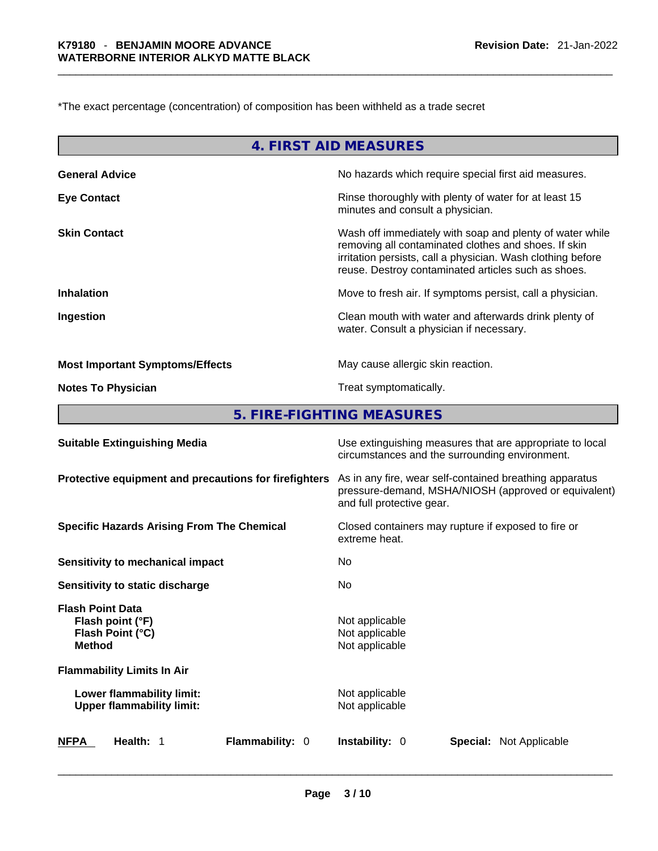\*The exact percentage (concentration) of composition has been withheld as a trade secret

| 4. FIRST AID MEASURES                  |                                                                                                                                                                                                                                        |  |  |
|----------------------------------------|----------------------------------------------------------------------------------------------------------------------------------------------------------------------------------------------------------------------------------------|--|--|
| <b>General Advice</b>                  | No hazards which require special first aid measures.                                                                                                                                                                                   |  |  |
| <b>Eye Contact</b>                     | Rinse thoroughly with plenty of water for at least 15<br>minutes and consult a physician.                                                                                                                                              |  |  |
| <b>Skin Contact</b>                    | Wash off immediately with soap and plenty of water while<br>removing all contaminated clothes and shoes. If skin<br>irritation persists, call a physician. Wash clothing before<br>reuse. Destroy contaminated articles such as shoes. |  |  |
| <b>Inhalation</b>                      | Move to fresh air. If symptoms persist, call a physician.                                                                                                                                                                              |  |  |
| Ingestion                              | Clean mouth with water and afterwards drink plenty of<br>water. Consult a physician if necessary.                                                                                                                                      |  |  |
| <b>Most Important Symptoms/Effects</b> | May cause allergic skin reaction.                                                                                                                                                                                                      |  |  |
| <b>Notes To Physician</b>              | Treat symptomatically.                                                                                                                                                                                                                 |  |  |
|                                        | 5. FIRE-FIGHTING MEASURES                                                                                                                                                                                                              |  |  |
| <b>Suitable Extinguishing Media</b>    | Use extinguishing measures that are appropriate to local                                                                                                                                                                               |  |  |

|                                                                                  | circumstances and the surrounding environment.                                                                                               |
|----------------------------------------------------------------------------------|----------------------------------------------------------------------------------------------------------------------------------------------|
| Protective equipment and precautions for firefighters                            | As in any fire, wear self-contained breathing apparatus<br>pressure-demand, MSHA/NIOSH (approved or equivalent)<br>and full protective gear. |
| <b>Specific Hazards Arising From The Chemical</b>                                | Closed containers may rupture if exposed to fire or<br>extreme heat.                                                                         |
| Sensitivity to mechanical impact                                                 | No.                                                                                                                                          |
| Sensitivity to static discharge                                                  | No                                                                                                                                           |
| <b>Flash Point Data</b><br>Flash point (°F)<br>Flash Point (°C)<br><b>Method</b> | Not applicable<br>Not applicable<br>Not applicable                                                                                           |
| <b>Flammability Limits In Air</b>                                                |                                                                                                                                              |
| Lower flammability limit:<br><b>Upper flammability limit:</b>                    | Not applicable<br>Not applicable                                                                                                             |
| <b>NFPA</b><br><b>Flammability: 0</b><br>Health: 1                               | <b>Instability: 0</b><br><b>Special: Not Applicable</b>                                                                                      |
|                                                                                  |                                                                                                                                              |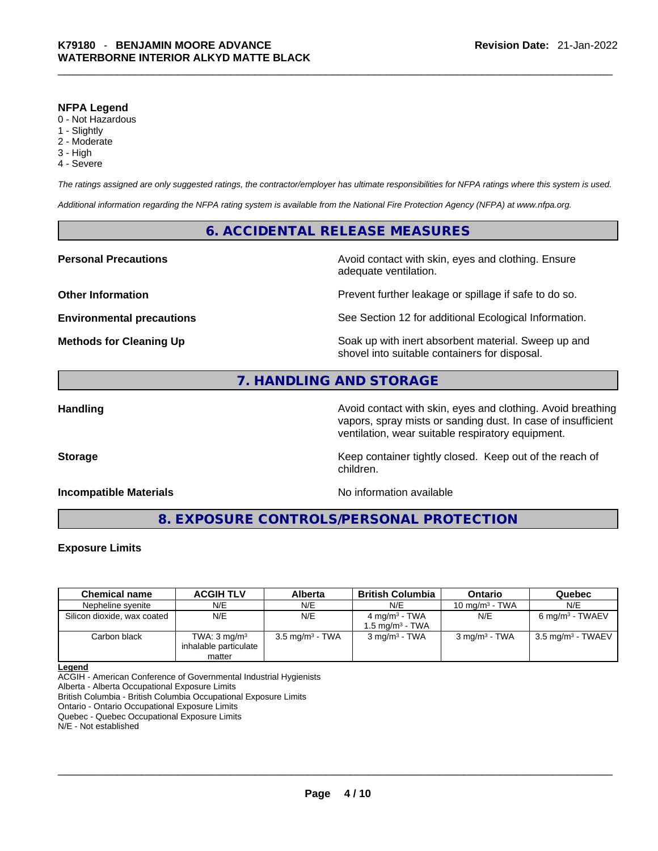#### **NFPA Legend**

- 0 Not Hazardous
- 1 Slightly
- 2 Moderate
- 3 High
- 4 Severe

*The ratings assigned are only suggested ratings, the contractor/employer has ultimate responsibilities for NFPA ratings where this system is used.* 

*Additional information regarding the NFPA rating system is available from the National Fire Protection Agency (NFPA) at www.nfpa.org.* 

# **6. ACCIDENTAL RELEASE MEASURES**

**Personal Precautions Avoid contact with skin, eyes and clothing. Ensure Personal Precautions** adequate ventilation.

**Other Information Department Information Department Intervent further leakage or spillage if safe to do so.** 

**Environmental precautions** See Section 12 for additional Ecological Information.

**Methods for Cleaning Up Example 20 All 20 All 20 All 20 Soak** up with inert absorbent material. Sweep up and shovel into suitable containers for disposal.

# **7. HANDLING AND STORAGE**

**Handling Handling Avoid contact with skin, eyes and clothing. Avoid breathing** vapors, spray mists or sanding dust. In case of insufficient ventilation, wear suitable respiratory equipment.

**Storage Keep container tightly closed. Keep out of the reach of Keep** container tightly closed. Keep out of the reach of

# **Incompatible Materials Incompatible Materials No information available**

**8. EXPOSURE CONTROLS/PERSONAL PROTECTION** 

children.

## **Exposure Limits**

| <b>Chemical name</b>        | <b>ACGIH TLV</b>                                           | <b>Alberta</b>             | <b>British Columbia</b>                                  | Ontario                     | Quebec                       |
|-----------------------------|------------------------------------------------------------|----------------------------|----------------------------------------------------------|-----------------------------|------------------------------|
| Nepheline svenite           | N/E                                                        | N/E                        | N/E                                                      | 10 mg/m $3$ - TWA           | N/E                          |
| Silicon dioxide, wax coated | N/E                                                        | N/E                        | 4 mg/m <sup>3</sup> - TWA<br>1.5 mg/m <sup>3</sup> - TWA | N/E                         | 6 mg/m <sup>3</sup> - TWAEV  |
| Carbon black                | TWA: $3 \text{ mg/m}^3$<br>inhalable particulate<br>matter | $3.5 \text{ mg/m}^3$ - TWA | 3 mg/m <sup>3</sup> - TWA                                | $3$ mg/m <sup>3</sup> - TWA | $3.5 \text{ mg/m}^3$ - TWAEV |

**Legend**

ACGIH - American Conference of Governmental Industrial Hygienists

Alberta - Alberta Occupational Exposure Limits

British Columbia - British Columbia Occupational Exposure Limits

Ontario - Ontario Occupational Exposure Limits Quebec - Quebec Occupational Exposure Limits

N/E - Not established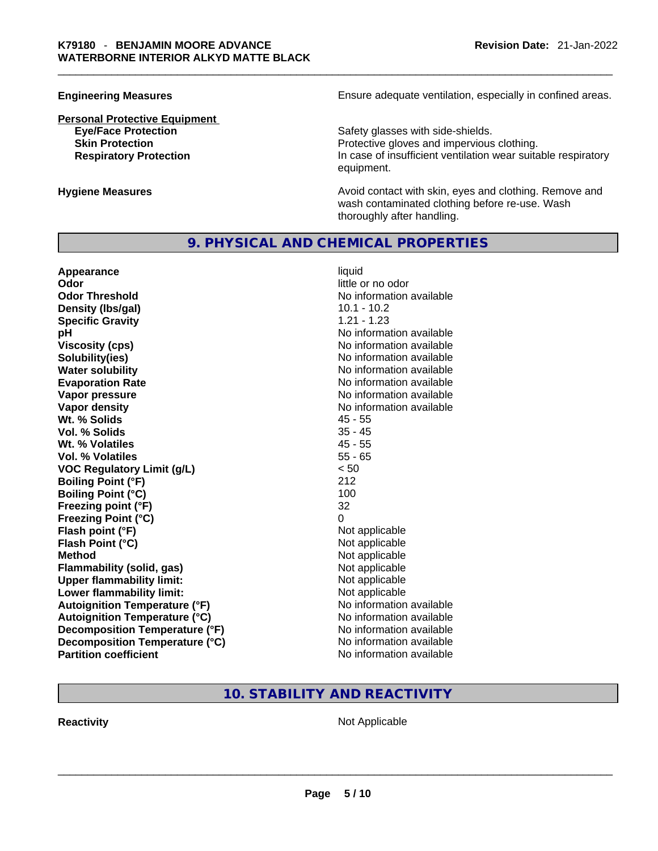# **Personal Protective Equipment**

**Engineering Measures Ensure 2018** Ensure adequate ventilation, especially in confined areas.

**Eye/Face Protection**<br> **Safety glasses with side-shields.**<br> **Skin Protection**<br> **Protective gloves and impervious** Protective gloves and impervious clothing. **Respiratory Protection In case of insufficient ventilation wear suitable respiratory** equipment.

**Hygiene Measures Avoid contact with skin, eyes and clothing. Remove and Avoid contact with skin, eyes and clothing. Remove and** wash contaminated clothing before re-use. Wash thoroughly after handling.

# **9. PHYSICAL AND CHEMICAL PROPERTIES**

| Appearance                           | liquid                   |
|--------------------------------------|--------------------------|
| Odor                                 | little or no odor        |
| <b>Odor Threshold</b>                | No information available |
| Density (Ibs/gal)                    | $10.1 - 10.2$            |
| <b>Specific Gravity</b>              | $1.21 - 1.23$            |
| рH                                   | No information available |
| <b>Viscosity (cps)</b>               | No information available |
| Solubility(ies)                      | No information available |
| <b>Water solubility</b>              | No information available |
| <b>Evaporation Rate</b>              | No information available |
| Vapor pressure                       | No information available |
| Vapor density                        | No information available |
| Wt. % Solids                         | $45 - 55$                |
| Vol. % Solids                        | $35 - 45$                |
| Wt. % Volatiles                      | $45 - 55$                |
| Vol. % Volatiles                     | $55 - 65$                |
| <b>VOC Regulatory Limit (g/L)</b>    | < 50                     |
| <b>Boiling Point (°F)</b>            | 212                      |
| <b>Boiling Point (°C)</b>            | 100                      |
| Freezing point (°F)                  | 32                       |
| <b>Freezing Point (°C)</b>           | 0                        |
| Flash point (°F)                     | Not applicable           |
| Flash Point (°C)                     | Not applicable           |
| <b>Method</b>                        | Not applicable           |
| <b>Flammability (solid, gas)</b>     | Not applicable           |
| <b>Upper flammability limit:</b>     | Not applicable           |
| Lower flammability limit:            | Not applicable           |
| <b>Autoignition Temperature (°F)</b> | No information available |
| <b>Autoignition Temperature (°C)</b> | No information available |
| Decomposition Temperature (°F)       | No information available |
| Decomposition Temperature (°C)       | No information available |
| <b>Partition coefficient</b>         | No information available |

# **10. STABILITY AND REACTIVITY**

**Reactivity** Not Applicable \_\_\_\_\_\_\_\_\_\_\_\_\_\_\_\_\_\_\_\_\_\_\_\_\_\_\_\_\_\_\_\_\_\_\_\_\_\_\_\_\_\_\_\_\_\_\_\_\_\_\_\_\_\_\_\_\_\_\_\_\_\_\_\_\_\_\_\_\_\_\_\_\_\_\_\_\_\_\_\_\_\_\_\_\_\_\_\_\_\_\_\_\_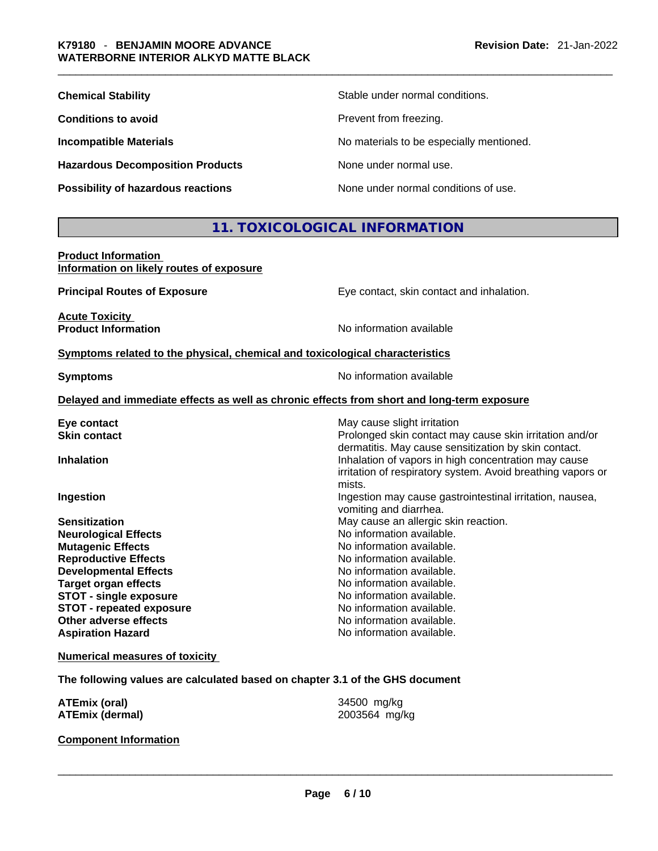| <b>Chemical Stability</b>                 | Stable under normal conditions.          |
|-------------------------------------------|------------------------------------------|
| <b>Conditions to avoid</b>                | Prevent from freezing.                   |
| <b>Incompatible Materials</b>             | No materials to be especially mentioned. |
| <b>Hazardous Decomposition Products</b>   | None under normal use.                   |
| <b>Possibility of hazardous reactions</b> | None under normal conditions of use.     |

# **11. TOXICOLOGICAL INFORMATION**

| <b>Product Information</b>               |  |
|------------------------------------------|--|
| Information on likely routes of exposure |  |

**Principal Routes of Exposure Exposure** Eye contact, skin contact and inhalation. **Acute Toxicity Product Information Internation International Contract Contract Area Available Symptoms related to the physical, chemical and toxicological characteristics Symptoms Symptoms No information available Delayed and immediate effects as well as chronic effects from short and long-term exposure Eye contact <b>Execution** Skin contact **Execution** Skin contact and May cause slight irritation Skin contact material **Skin contact** Prolonged skin contact may cause skin irritation and/or dermatitis. May cause sensitization by skin contact. **Inhalation Inhalation Inhalation of vapors in high concentration may cause** irritation of respiratory system. Avoid breathing vapors or mists.

**Ingestion Ingestion Index is a linear in the line of the line of the line of the line of the line of the line of the line of the line of the line of the line of the line of the line of the line of the line of the line** 

vomiting and diarrhea.

**Sensitization Sensitization May cause an allergic skin reaction. Neurological Effects No information available. Mutagenic Effects Mutagenic Effects No information available. Reproductive Effects No information available. Developmental Effects No information available. Target organ effects No information available. STOT** - single exposure **No information available. STOT** - **repeated exposure** No information available. **Other adverse effects No information available. Aspiration Hazard**  No information available.

**Numerical measures of toxicity**

**The following values are calculated based on chapter 3.1 of the GHS document**

| <b>ATEmix (oral)</b>         | 34500 mg/kg   |
|------------------------------|---------------|
| <b>ATEmix (dermal)</b>       | 2003564 mg/kg |
| <b>Component Information</b> |               |

## **Component Information**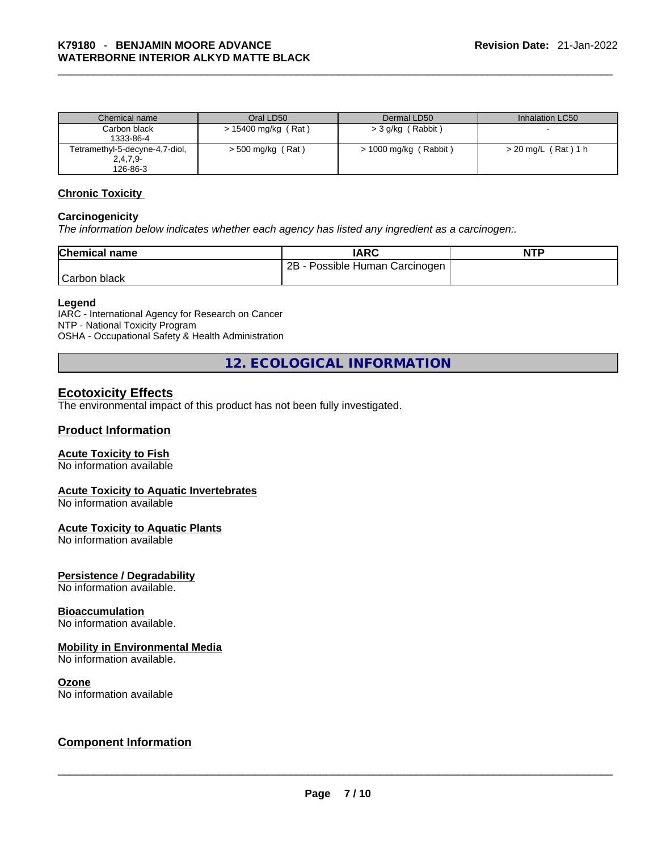| Chemical name                  | Oral LD50             | Dermal LD50           | Inhalation LC50       |
|--------------------------------|-----------------------|-----------------------|-----------------------|
| Carbon black                   | $> 15400$ mg/kg (Rat) | > 3 g/kg (Rabbit)     |                       |
| 1333-86-4                      |                       |                       |                       |
| Tetramethyl-5-decyne-4,7-diol, | $>$ 500 mg/kg (Rat)   | > 1000 mg/kg (Rabbit) | $>$ 20 mg/L (Rat) 1 h |
| $2,4,7,9-$                     |                       |                       |                       |
| 126-86-3                       |                       |                       |                       |

#### **Chronic Toxicity**

#### **Carcinogenicity**

*The information below indicates whether each agency has listed any ingredient as a carcinogen:.* 

| <b>Chemical name</b> | IARC                                   | <b>NTP</b> |
|----------------------|----------------------------------------|------------|
|                      | 2B<br>Possible Human Carcinogen I - د. |            |
| Carbon black         |                                        |            |

## **Legend**

IARC - International Agency for Research on Cancer NTP - National Toxicity Program OSHA - Occupational Safety & Health Administration

**12. ECOLOGICAL INFORMATION** 

# **Ecotoxicity Effects**

The environmental impact of this product has not been fully investigated.

# **Product Information**

# **Acute Toxicity to Fish**

No information available

## **Acute Toxicity to Aquatic Invertebrates**

No information available

#### **Acute Toxicity to Aquatic Plants**

No information available

## **Persistence / Degradability**

No information available.

# **Bioaccumulation**

No information available.

#### **Mobility in Environmental Media**

No information available.

**Ozone**<br>No information available

# No information available \_\_\_\_\_\_\_\_\_\_\_\_\_\_\_\_\_\_\_\_\_\_\_\_\_\_\_\_\_\_\_\_\_\_\_\_\_\_\_\_\_\_\_\_\_\_\_\_\_\_\_\_\_\_\_\_\_\_\_\_\_\_\_\_\_\_\_\_\_\_\_\_\_\_\_\_\_\_\_\_\_\_\_\_\_\_\_\_\_\_\_\_\_ **Component Information**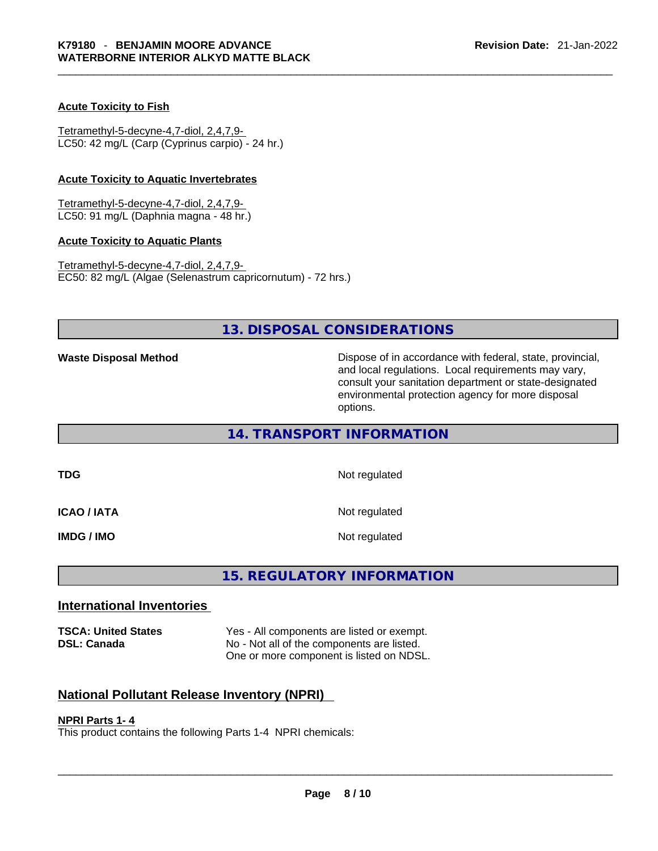## **Acute Toxicity to Fish**

Tetramethyl-5-decyne-4,7-diol, 2,4,7,9- LC50: 42 mg/L (Carp (Cyprinus carpio) - 24 hr.)

#### **Acute Toxicity to Aquatic Invertebrates**

Tetramethyl-5-decyne-4,7-diol, 2,4,7,9- LC50: 91 mg/L (Daphnia magna - 48 hr.)

#### **Acute Toxicity to Aquatic Plants**

Tetramethyl-5-decyne-4,7-diol, 2,4,7,9- EC50: 82 mg/L (Algae (Selenastrum capricornutum) - 72 hrs.)

# **13. DISPOSAL CONSIDERATIONS**

**Waste Disposal Method** Dispose of in accordance with federal, state, provincial, and local regulations. Local requirements may vary, consult your sanitation department or state-designated environmental protection agency for more disposal options.

# **14. TRANSPORT INFORMATION**

| TDG                | Not regulated |
|--------------------|---------------|
| <b>ICAO / IATA</b> | Not regulated |
| IMDG / IMO         | Not regulated |

# **15. REGULATORY INFORMATION**

# **International Inventories**

**TSCA: United States** Yes - All components are listed or exempt. **DSL: Canada** No - Not all of the components are listed. One or more component is listed on NDSL.

# **National Pollutant Release Inventory (NPRI)**

# **NPRI Parts 1- 4**

This product contains the following Parts 1-4 NPRI chemicals: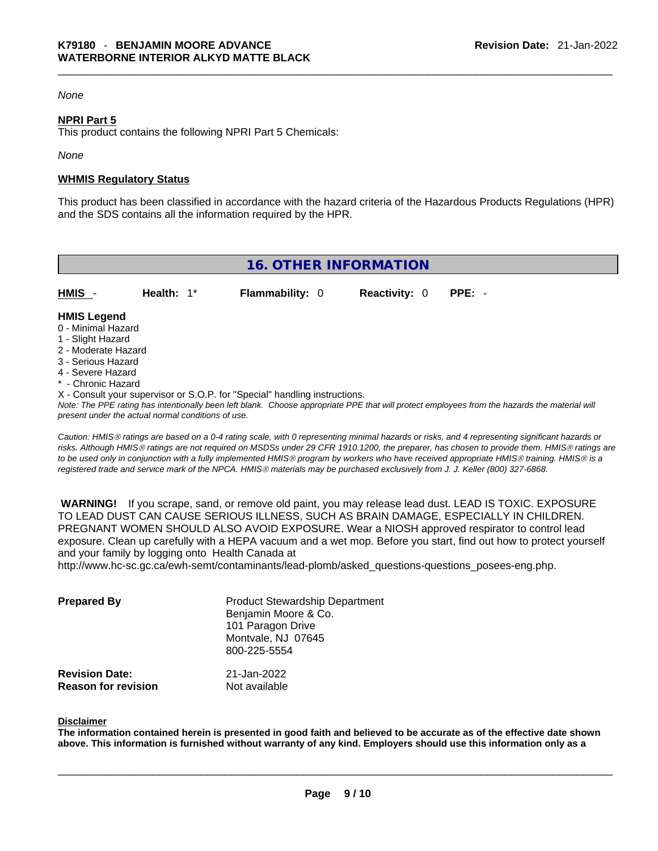# *None*

## **NPRI Part 5**

This product contains the following NPRI Part 5 Chemicals:

*None*

#### **WHMIS Regulatory Status**

This product has been classified in accordance with the hazard criteria of the Hazardous Products Regulations (HPR) and the SDS contains all the information required by the HPR.

| <b>16. OTHER INFORMATION</b>                                                                                                                                                                                                                                                                                                                                                                                                               |               |                        |                      |          |  |
|--------------------------------------------------------------------------------------------------------------------------------------------------------------------------------------------------------------------------------------------------------------------------------------------------------------------------------------------------------------------------------------------------------------------------------------------|---------------|------------------------|----------------------|----------|--|
| HMIS -                                                                                                                                                                                                                                                                                                                                                                                                                                     | Health: $1^*$ | <b>Flammability: 0</b> | <b>Reactivity: 0</b> | $PPE: -$ |  |
| <b>HMIS Legend</b><br>0 - Minimal Hazard<br>1 - Slight Hazard<br>2 - Moderate Hazard<br>3 - Serious Hazard<br>4 - Severe Hazard<br>* - Chronic Hazard<br>X - Consult your supervisor or S.O.P. for "Special" handling instructions.<br>Note: The PPE rating has intentionally been left blank. Choose appropriate PPE that will protect employees from the hazards the material will<br>present under the actual normal conditions of use. |               |                        |                      |          |  |

*Caution: HMISÒ ratings are based on a 0-4 rating scale, with 0 representing minimal hazards or risks, and 4 representing significant hazards or risks. Although HMISÒ ratings are not required on MSDSs under 29 CFR 1910.1200, the preparer, has chosen to provide them. HMISÒ ratings are to be used only in conjunction with a fully implemented HMISÒ program by workers who have received appropriate HMISÒ training. HMISÒ is a registered trade and service mark of the NPCA. HMISÒ materials may be purchased exclusively from J. J. Keller (800) 327-6868.* 

 **WARNING!** If you scrape, sand, or remove old paint, you may release lead dust. LEAD IS TOXIC. EXPOSURE TO LEAD DUST CAN CAUSE SERIOUS ILLNESS, SUCH AS BRAIN DAMAGE, ESPECIALLY IN CHILDREN. PREGNANT WOMEN SHOULD ALSO AVOID EXPOSURE.Wear a NIOSH approved respirator to control lead exposure. Clean up carefully with a HEPA vacuum and a wet mop. Before you start, find out how to protect yourself and your family by logging onto Health Canada at http://www.hc-sc.gc.ca/ewh-semt/contaminants/lead-plomb/asked\_questions-questions\_posees-eng.php.

| <b>Prepared By</b>    | <b>Product Stewardship Department</b><br>Benjamin Moore & Co.<br>101 Paragon Drive |  |  |
|-----------------------|------------------------------------------------------------------------------------|--|--|
|                       | Montvale, NJ 07645<br>800-225-5554                                                 |  |  |
| <b>Revision Date:</b> | 21-Jan-2022                                                                        |  |  |

**Reason for revision** Not available

#### **Disclaimer**

The information contained herein is presented in good faith and believed to be accurate as of the effective date shown above. This information is furnished without warranty of any kind. Employers should use this information only as a